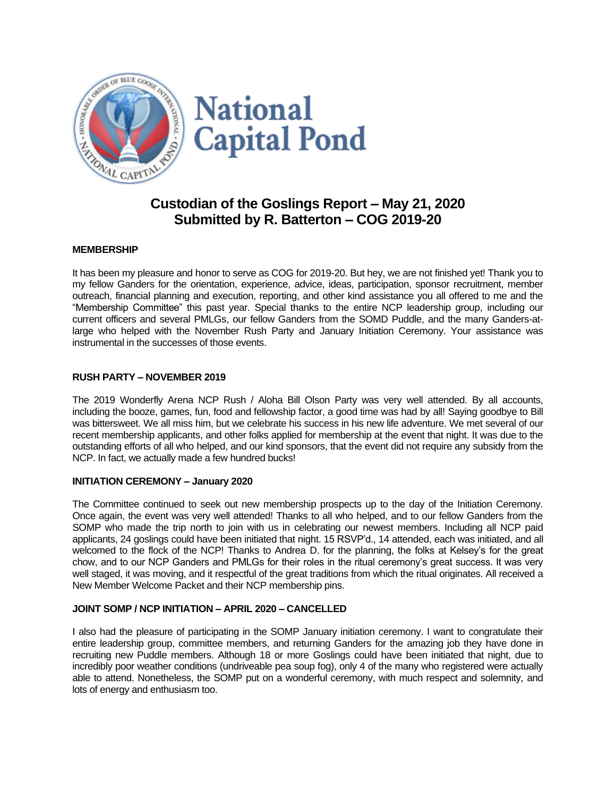

# **Custodian of the Goslings Report – May 21, 2020 Submitted by R. Batterton – COG 2019-20**

## **MEMBERSHIP**

It has been my pleasure and honor to serve as COG for 2019-20. But hey, we are not finished yet! Thank you to my fellow Ganders for the orientation, experience, advice, ideas, participation, sponsor recruitment, member outreach, financial planning and execution, reporting, and other kind assistance you all offered to me and the "Membership Committee" this past year. Special thanks to the entire NCP leadership group, including our current officers and several PMLGs, our fellow Ganders from the SOMD Puddle, and the many Ganders-atlarge who helped with the November Rush Party and January Initiation Ceremony. Your assistance was instrumental in the successes of those events.

## **RUSH PARTY – NOVEMBER 2019**

The 2019 Wonderfly Arena NCP Rush / Aloha Bill Olson Party was very well attended. By all accounts, including the booze, games, fun, food and fellowship factor, a good time was had by all! Saying goodbye to Bill was bittersweet. We all miss him, but we celebrate his success in his new life adventure. We met several of our recent membership applicants, and other folks applied for membership at the event that night. It was due to the outstanding efforts of all who helped, and our kind sponsors, that the event did not require any subsidy from the NCP. In fact, we actually made a few hundred bucks!

## **INITIATION CEREMONY – January 2020**

The Committee continued to seek out new membership prospects up to the day of the Initiation Ceremony. Once again, the event was very well attended! Thanks to all who helped, and to our fellow Ganders from the SOMP who made the trip north to join with us in celebrating our newest members. Including all NCP paid applicants, 24 goslings could have been initiated that night. 15 RSVP'd., 14 attended, each was initiated, and all welcomed to the flock of the NCP! Thanks to Andrea D. for the planning, the folks at Kelsey's for the great chow, and to our NCP Ganders and PMLGs for their roles in the ritual ceremony's great success. It was very well staged, it was moving, and it respectful of the great traditions from which the ritual originates. All received a New Member Welcome Packet and their NCP membership pins.

## **JOINT SOMP / NCP INITIATION – APRIL 2020 – CANCELLED**

I also had the pleasure of participating in the SOMP January initiation ceremony. I want to congratulate their entire leadership group, committee members, and returning Ganders for the amazing job they have done in recruiting new Puddle members. Although 18 or more Goslings could have been initiated that night, due to incredibly poor weather conditions (undriveable pea soup fog), only 4 of the many who registered were actually able to attend. Nonetheless, the SOMP put on a wonderful ceremony, with much respect and solemnity, and lots of energy and enthusiasm too.